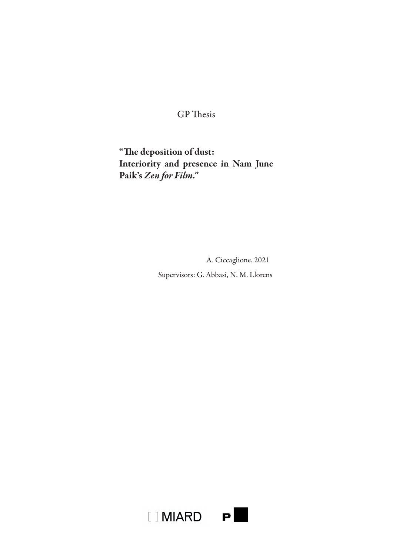# GP Thesis

"The deposition of dust: Interiority and presence in Nam June Paik's *Zen for Film."*

A. Ciccaglione, 2021

Supervisors: G. Abbasi, N. M. Llorens

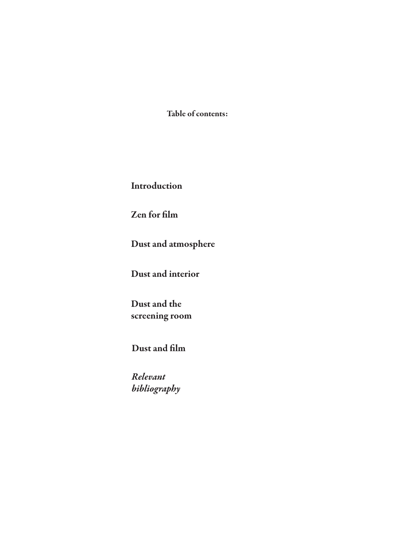Table of contents:

Introduction

Zen for film

Dust and atmosphere

Dust and interior

Dust and the screening room

Dust and film

*Relevant bibliography*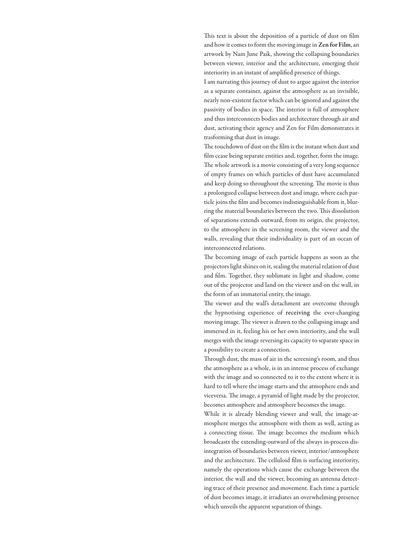This text is about the deposition of a particle of dust on film and how it comes to form the moving image in Zen for Film, an artwork by Nam June Paik, showing the collapsing boundaries between viewer, interior and the architecture, emerging their interiority in an instant of amplified presence of things.

I am narrating this journey of dust to argue against the interior as a separate container, against the atmosphere as an invisible, nearly non-existent factor which can be ignored and against the passivity of bodies in space. The interior is full of atmosphere and thus interconnects bodies and architecture through air and dust, activating their agency and Zen for Film demonstrates it trasforming that dust in image.

The touchdown of dust on the film is the instant when dust and film cease being separate entities and, together, form the image. The whole artwork is a movie consisting of a very long sequence of empty frames on which particles of dust have accumulated and keep doing so throughout the screening. The movie is thus a prolongued collapse between dust and image, where each particle joins the film and becomes indistinguishable from it, blurring the material boundaries between the two. This dissolution of separations extends outward, from its origin, the projector, to the atmosphere in the screening room, the viewer and the walls, revealing that their individuality is part of an ocean of interconnected relations.

The becoming image of each particle happens as soon as the projectors light shines on it, sealing the material relation of dust and film. Together, they sublimate in light and shadow, come out of the projector and land on the viewer and on the wall, in the form of an immaterial entity, the image.

The viewer and the wall's detachment are overcome through the hypnotising experience of receiving the ever-changing moving image. The viewer is drawn to the collapsing image and immersed in it, feeling his or her own interiority, and the wall merges with the image reversing its capacity to separate space in a possibility to create a connection.

Through dust, the mass of air in the screening's room, and thus the atmosphere as a whole, is in an intense process of exchange with the image and so connected to it to the extent where it is hard to tell where the image starts and the atmophere ends and viceversa. The image, a pyramid of light made by the projector, becomes atmosphere and atmosphere becomes the image.

While it is already blending viewer and wall, the image-atmosphere merges the atmosphere with them as well, acting as a connecting tissue. The image becomes the medium which broadcasts the extending-outward of the always in-process disintegration of boundaries between viewer, interior/atmosphere and the architecture. The celluloid film is surfacing interiority, namely the operations which cause the exchange between the interior, the wall and the viewer, becoming an antenna detecting trace of their presence and movement. Each time a particle of dust becomes image, it irradiates an overwhelming presence which unveils the apparent separation of things.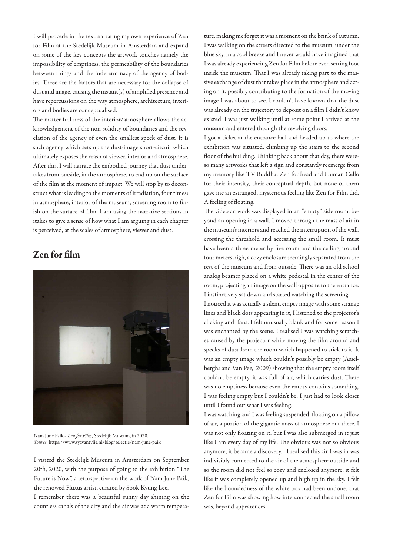I will procede in the text narrating my own experience of Zen for Film at the Stedelijk Museum in Amsterdam and expand on some of the key concepts the artwork touches namely the impossibility of emptiness, the permeability of the boundaries between things and the indeterminacy of the agency of bodies. Those are the factors that are necessary for the collapse of dust and image, causing the instant(s) of amplified presence and have repercussions on the way atmosphere, architecture, interiors and bodies are conceptualised.

The matter-full-ness of the interior/atmosphere allows the acknowledgement of the non-solidity of boundaries and the revelation of the agency of even the smallest speck of dust. It is such agency which sets up the dust-image short-circuit which ultimately exposes the crash of viewer, interior and atmosphere. After this, I will narrate the embodied journey that dust undertakes from outside, in the atmosphere, to end up on the surface of the film at the moment of impact. We will stop by to deconstruct what is leading to the moments of irradiation, four times: in atmosphere, interior of the museum, screening room to finish on the surface of film. I am using the narrative sections in italics to give a sense of how what I am arguing in each chapter is perceived, at the scales of atmosphere, viewer and dust.

Zen for film



Nam June Paik - *Zen for Film*, Stedelijk Museum, in 2020. *Source*: https://www.syavantvlie.nl/blog/selectie/nam-june-paik

I visited the Stedelijk Museum in Amsterdam on September 20th, 2020, with the purpose of going to the exhibition "The Future is Now", a retrospective on the work of Nam June Paik, the renowed Fluxus artist, curated by Sook-Kyung Lee.

I remember there was a beautiful sunny day shining on the countless canals of the city and the air was at a warm tempera-

ture, making me forget it was a moment on the brink of autumn. I was walking on the streets directed to the museum, under the blue sky, in a cool breeze and I never would have imagined that I was already experiencing Zen for Film before even setting foot inside the museum. That I was already taking part to the massive exchange of dust that takes place in the atmosphere and acting on it, possibly contributing to the formation of the moving image I was about to see. I couldn't have known that the dust was already on the trajectory to deposit on a film I didn't know existed. I was just walking until at some point I arrived at the museum and entered through the revolving doors.

I got a ticket at the entrance hall and headed up to where the exhibition was situated, climbing up the stairs to the second floor of the building. Thinking back about that day, there wereso many artworks that left a sign and constantly reemerge from my memory like TV Buddha, Zen for head and Human Cello for their intensity, their conceptual depth, but none of them gave me an estranged, mysterious feeling like Zen for Film did. A feeling of floating.

The video artwork was displayed in an "empty" side room, beyond an opening in a wall. I moved through the mass of air in the museum's interiors and reached the interruption of the wall, crossing the threshold and accessing the small room. It must have been a three meter by five room and the ceiling around four meters high, a cozy enclosure seemingly separated from the rest of the museum and from outside. There was an old school analog beamer placed on a white pedestal in the center of the room, projecting an image on the wall opposite to the entrance. I instinctively sat down and started watching the screening.

I noticed it was actually a silent, empty image with some strange lines and black dots appearing in it, I listened to the projector's clicking and fans. I felt unusually blank and for some reason I was enchanted by the scene. I realised I was watching scratches caused by the projector while moving the film around and specks of dust from the room which happened to stick to it. It was an empty image which couldn't possibly be empty (Asselberghs and Van Pee, 2009) showing that the empty room itself couldn't be empty, it was full of air, which carries dust. There was no emptiness because even the empty contains something. I was feeling empty but I couldn't be, I just had to look closer until I found out what I was feeling.

I was watching and I was feeling suspended, floating on a pillow of air, a portion of the gigantic mass of atmosphere out there. I was not only floating on it, but I was also submerged in it just like I am every day of my life. The obvious was not so obvious anymore, it became a discovery... I realised this air I was in was indivisibly connected to the air of the atmosphere outside and so the room did not feel so cozy and enclosed anymore, it felt like it was completely opened up and high up in the sky. I felt like the boundedness of the white box had been undone, that Zen for Film was showing how interconnected the small room was, beyond appearences.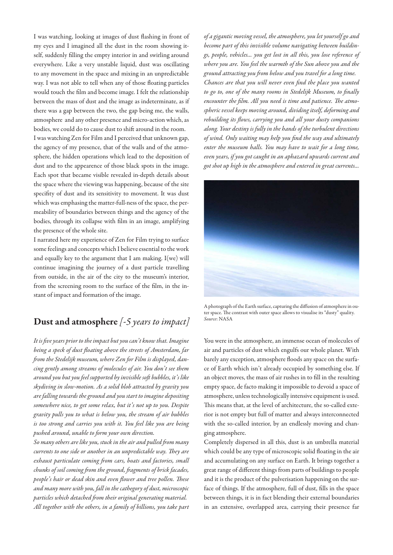I was watching, looking at images of dust flashing in front of my eyes and I imagined all the dust in the room showing itself, suddenly filling the empty interior in and swirling around everywhere. Like a very unstable liquid, dust was oscillating to any movement in the space and mixing in an unpredictable way. I was not able to tell when any of those floating particles would touch the film and become image. I felt the relationship between the mass of dust and the image as indeterminate, as if there was a gap between the two, the gap being me, the walls, atmosphere and any other presence and micro-action which, as bodies, we could do to cause dust to shift around in the room. I was watching Zen for Film and I perceived that unknown gap, the agency of my presence, that of the walls and of the atmosphere, the hidden operations which lead to the deposition of dust and to the appearence of those black spots in the image. Each spot that became visible revealed in-depth details about the space where the viewing was happening, because of the site specifity of dust and its sensitivity to movement. It was dust which was emphasing the matter-full-ness of the space, the permeability of boundaries between things and the agency of the bodies, through its collapse with film in an image, amplifying the presence of the whole site.

I narrated here my experience of Zen for Film trying to surface some feelings and concepts which I believe essential to the work and equally key to the argument that I am making. I(we) will continue imagining the journey of a dust particle travelling from outside, in the air of the city to the museum's interior, from the screening room to the surface of the film, in the instant of impact and formation of the image.

### Dust and atmosphere *[-5 years to impact]*

*It is five years prior to the impact but you can't know that. Imagine being a speck of dust floating above the streets of Amsterdam, far from the Stedelijk museum, where Zen for Film is displayed, dancing gently among streams of molecules of air. You don't see them around you but you feel supported by invisible soft bubbles, it's like skydiving in slow-motion. As a solid blob attracted by gravity you are falling towards the ground and you start to imagine depositing somewhere nice, to get some relax, but it's not up to you. Despite gravity pulls you to what is below you, the stream of air bubbles is too strong and carries you with it. You feel like you are being pushed around, unable to form your own direction.* 

*So many others are like you, stuck in the air and pulled from many currents to one side or another in an unpredictable way. They are exhaust particulate coming from cars, boats and factories, small chunks of soil coming from the ground, fragments of brick facades, people's hair or dead skin and even flower and tree pollen. These and many more with you, fall in the cathegory of dust, microscopic particles which detached from their original generating material. All together with the others, in a family of billions, you take part* 

*of a gigantic moving vessel, the atmosphere, you let yourself go and become part of this invisible volume navigating between buildings, people, vehicles... you get lost in all this, you lose reference of where you are. You feel the warmth of the Sun above you and the ground attracting you from below and you travel for a long time. Chances are that you will never even find the place you wanted to go to, one of the many rooms in Stedelijk Museum, to finally encounter the film. All you need is time and patience. The atmospheric vessel keeps moving around, dividing itself, deforming and rebuilding its flows, carrying you and all your dusty companions along. Your destiny is fully in the hands of the turbulent directions of wind. Only waiting may help you find the way and ultimately enter the museum halls. You may have to wait for a long time, even years, if you got caught in an aphazard upwards current and got shot up high in the atmosphere and entered in great currents...*



A photograph of the Earth surface, capturing the diffusion of atmosphere in outer space. The contrast with outer space allows to visualise its "dusty" quality. *Source*: NASA

You were in the atmosphere, an immense ocean of molecules of air and particles of dust which engulfs our whole planet. With barely any exception, atmosphere floods any space on the surface of Earth which isn't already occupied by something else. If an object moves, the mass of air rushes in to fill in the resulting empty space, de facto making it impossible to devoid a space of atmosphere, unless technologically intensive equipment is used. This means that, at the level of architecture, the so-called exterior is not empty but full of matter and always interconnected with the so-called interior, by an endlessly moving and changing atmosphere.

Completely dispersed in all this, dust is an umbrella material which could be any type of microscopic solid floating in the air and accumulating on any surface on Earth. It brings together a great range of different things from parts of buildings to people and it is the product of the pulverisation happening on the surface of things. If the atmosphere, full of dust, fills in the space between things, it is in fact blending their external boundaries in an extensive, overlapped area, carrying their presence far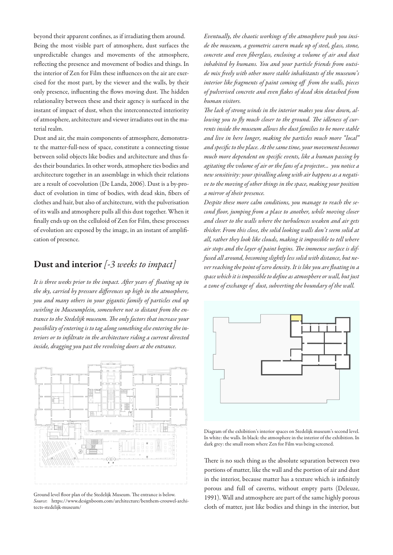beyond their apparent confines, as if irradiating them around. Being the most visible part of atmosphere, dust surfaces the unpredictable changes and movements of the atmosphere, reflecting the presence and movement of bodies and things. In the interior of Zen for Film these influences on the air are exercised for the most part, by the viewer and the walls, by their only presence, influenting the flows moving dust. The hidden relationality between these and their agency is surfaced in the instant of impact of dust, when the interconnected interiority of atmosphere, architecture and viewer irradiates out in the material realm.

Dust and air, the main components of atmosphere, demonstrate the matter-full-ness of space, constitute a connecting tissue between solid objects like bodies and architecture and thus fades their boundaries. In other words, atmophere ties bodies and architecture together in an assemblage in which their relations are a result of coevolution (De Landa, 2006). Dust is a by-product of evolution in time of bodies, with dead skin, fibers of clothes and hair, but also of architecture, with the pulverisation of its walls and atmosphere pulls all this dust together. When it finally ends up on the celluloid of Zen for Film, these processes of evolution are exposed by the image, in an instant of amplification of presence.

#### Dust and interior *[-3 weeks to impact]*

*It is three weeks prior to the impact. After years of floating up in the sky, carried by pressure differences up high in the atmosphere, you and many others in your gigantic family of particles end up swirling in Museumplein, somewhere not so distant from the entrance to the Stedelijk museum. The only factors that increase your possibility of entering is to tag along something else entering the interiors or to infiltrate in the architecture riding a current directed inside, dragging you past the revolving doors at the entrance.* 



Ground level floor plan of the Stedelijk Museum. The entrance is below. *Source*: https://www.designboom.com/architecture/benthem-crouwel-architects-stedelijk-museum/

*Eventually, the chaotic workings of the atmosphere push you inside the museum, a geometric cavern made up of steel, glass, stone, concrete and even fiberglass, enclosing a volume of air and dust inhabited by humans. You and your particle friends from outside mix freely with other more stable inhabitants of the museum's interior like fragments of paint coming off from the walls, pieces of pulverised concrete and even flakes of dead skin detached from human visitors.* 

*The lack of strong winds in the interior makes you slow down, allowing you to fly much closer to the ground. The idleness of currents inside the museum allows the dust families to be more stable and live in here longer, making the particles much more "local" and specific to the place. At the same time, your movement becomes much more dependent on specific events, like a human passing by agitating the volume of air or the fans of a projector... you notice a new sensitivity: your spiralling along with air happens as a negative to the moving of other things in the space, making your position a mirror of their presence.* 

*Despite these more calm conditions, you manage to reach the second floor, jumping from a place to another, while moving closer and closer to the walls where the turbulences weaken and air gets thicker. From this close, the solid looking walls don't seem solid at all, rather they look like clouds, making it impossible to tell where air stops and the layer of paint begins. The immense surface is diffused all around, becoming slightly less solid with distance, but never reaching the point of zero density. It is like you are floating in a space which it is impossible to define as atmosphere or wall, but just a zone of exchange of dust, subverting the boundary of the wall.*



Diagram of the exhibition's interior spaces on Stedelijk museum's second level. In white: the walls. In black: the atmosphere in the interior of the exhibition. In dark grey: the small room where Zen for Film was being screened.

There is no such thing as the absolute separation between two portions of matter, like the wall and the portion of air and dust in the interior, because matter has a texture which is infinitely porous and full of caverns, without empty parts (Deleuze, 1991). Wall and atmosphere are part of the same highly porous cloth of matter, just like bodies and things in the interior, but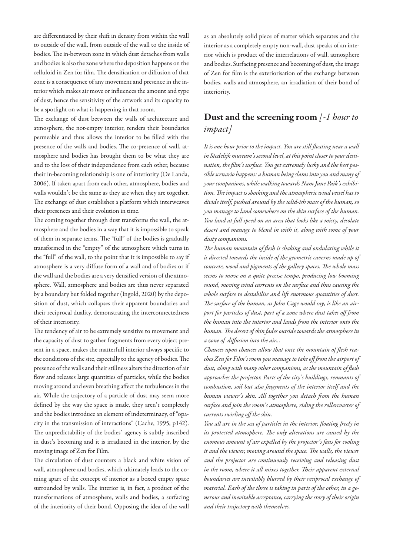are differentiated by their shift in density from within the wall to outside of the wall, from outside of the wall to the inside of bodies. The in-between zone in which dust detaches from walls and bodies is also the zone where the deposition happens on the celluloid in Zen for film. The densification or diffusion of that zone is a consequence of any movement and presence in the interior which makes air move or influences the amount and type of dust, hence the sensitivity of the artwork and its capacity to be a spotlight on what is happening in that room.

The exchange of dust between the walls of architecture and atmosphere, the not-empty interior, renders their boundaries permeable and thus allows the interior to be filled with the presence of the walls and bodies. The co-presence of wall, atmosphere and bodies has brought them to be what they are and to the loss of their independence from each other, because their in-becoming relationship is one of interiority (De Landa, 2006). If taken apart from each other, atmosphere, bodies and walls wouldn't be the same as they are when they are together. The exchange of dust establishes a platform which interweaves their presences and their evolution in time.

The coming together through dust transforms the wall, the atmosphere and the bodies in a way that it is impossible to speak of them in separate terms. The "full" of the bodies is gradually transformed in the "empty" of the atmosphere which turns in the "full" of the wall, to the point that it is impossible to say if atmosphere is a very diffuse form of a wall and of bodies or if the wall and the bodies are a very densified version of the atmosphere. Wall, atmosphere and bodies are thus never separated by a boundary but folded together (Ingold, 2020) by the deposition of dust, which collapses their apparent boundaries and their reciprocal duality, demonstrating the interconnectedness of their interiority.

The tendency of air to be extremely sensitive to movement and the capacity of dust to gather fragments from every object present in a space, makes the matterfull interior always specific to the conditions of the site, especially to the agency of bodies. The presence of the walls and their stillness alters the direction of air flow and releases large quantities of particles, while the bodies moving around and even breathing affect the turbulences in the air. While the trajectory of a particle of dust may seem more defined by the way the space is made, they aren't completely and the bodies introduce an element of indeterminacy, of "opacity in the transmission of interactions" (Cache, 1995, p142). The unpredictability of the bodies' agency is subtly inscribed in dust's becoming and it is irradiated in the interior, by the moving image of Zen for Film.

The circulation of dust counters a black and white vision of wall, atmosphere and bodies, which ultimately leads to the coming apart of the concept of interior as a boxed empty space surrounded by walls. The interior is, in fact, a product of the transformations of atmosphere, walls and bodies, a surfacing of the interiority of their bond. Opposing the idea of the wall

as an absolutely solid piece of matter which separates and the interior as a completely empty non-wall, dust speaks of an interior which is product of the interrelations of wall, atmosphere and bodies. Surfacing presence and becoming of dust, the image of Zen for film is the exteriorisation of the exchange between bodies, walls and atmosphere, an irradiation of their bond of interiority.

### Dust and the screening room *[-1 hour to impact]*

*It is one hour prior to the impact. You are still floating near a wall in Stedelijk museum's second level, at this point closer to your destination, the film's surface. You get extremely lucky and the best possible scenario happens: a human being slams into you and many of your companions, while walking towards Nam June Paik's exhibition. The impact is shocking and the atmospheric wind vessel has to divide itself, pushed around by the solid-ish mass of the human, so you manage to land somewhere on the skin surface of the human. You land at full speed on an area that looks like a misty, desolate desert and manage to blend in with it, along with some of your dusty companions.* 

*The human mountain of flesh is shaking and ondulating while it is directed towards the inside of the geometric caverns made up of concrete, wood and pigments of the gallery spaces. The whole mass seems to move on a quite precise tempo, producing low booming sound, moving wind currents on the surface and thus causing the whole surface to destabilise and lift enormous quantities of dust. The surface of the human, as John Cage would say, is like an airport for particles of dust, part of a zone where dust takes off from the human into the interior and lands from the interior onto the human. The desert of skin fades outside towards the atmosphere in a zone of diffusion into the air...*

*Chances upon chances allow that once the mountain of flesh reaches Zen for Film's room you manage to take off from the airport of dust, along with many other companions, as the mountain of flesh approaches the projector. Parts of the city's buildings, remnants of combustion, soil but also fragments of the interior itself and the human viewer's skin. All together you detach from the human surface and join the room's atmosphere, riding the rollercoaster of currents swirling off the skin.* 

*You all are in the sea of particles in the interior, floating freely in its protected atmosphere. The only alterations are caused by the enomous amount of air expelled by the projector's fans for cooling it and the viewer, moving around the space. The walls, the viewer and the projector are continuously receiving and releasing dust in the room, where it all mixes together. Their apparent external boundaries are inevitably blurred by their reciprocal exchange of material. Each of the three is taking in parts of the other, in a generous and inevitable acceptance, carrying the story of their origin and their trajectory with themselves.*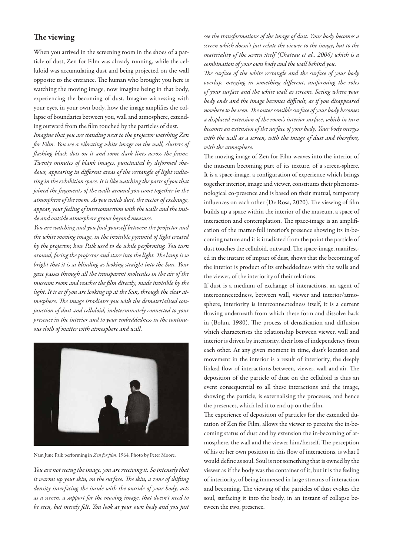#### The viewing

When you arrived in the screening room in the shoes of a particle of dust, Zen for Film was already running, while the celluloid was accumulating dust and being projected on the wall opposite to the entrance. The human who brought you here is watching the moving image, now imagine being in that body, experiencing the becoming of dust. Imagine witnessing with your eyes, in your own body, how the image amplifies the collapse of boundaries between you, wall and atmosphere, extending outward from the film touched by the particles of dust.

*Imagine that you are standing next to the projector watching Zen for Film. You see a vibrating white image on the wall, clusters of flashing black dots on it and some dark lines across the frame. Twenty minutes of blank images, punctuated by deformed shadows, appearing in different areas of the rectangle of light radiating in the exhibition space. It is like watching the parts of you that joined the fragments of the walls around you come together in the atmosphere of the room. As you watch dust, the vector of exchange, appear, your feeling of interconnection with the walls and the inside and outside atmosphere grows beyond measure.*

*You are watching and you find yourself between the projector and the white moving image, in the invisible pyramid of light created by the projector, how Paik used to do while performing. You turn around, facing the projector and stare into the light. The lamp is so bright that it is as blinding as looking straight into the Sun. Your gaze passes through all the transparent molecules in the air of the museum room and reaches the film directly, made invisible by the light. It is as if you are looking up at the Sun, through the clear atmosphere. The image irradiates you with the dematerialised conjunction of dust and celluloid, indeterminately connected to your presence in the interior and to your embeddedness in the continuous cloth of matter with atmosphere and wall.* 



Nam June Paik performing in *Zen for film*, 1964. Photo by Peter Moore.

*You are not seeing the image, you are receiving it. So intensely that it warms up your skin, on the surface. The skin, a zone of shifting density interfacing the inside with the outside of your body, acts as a screen, a support for the moving image, that doesn't need to be seen, but merely felt. You look at your own body and you just* 

*see the transformations of the image of dust. Your body becomes a screen which doesn't just relate the viewer to the image, but to the materiality of the screen itself (Chateau et al., 2006) which is a combination of your own body and the wall behind you.* 

*The surface of the white rectangle and the surface of your body overlap, merging in something different, uniforming the roles of your surface and the white wall as screens. Seeing where your body ends and the image becomes difficult, as if you disappeared nowhere to be seen. The outer sensible surface of your body becomes a displaced extension of the room's interior surface, which in turn becomes an extension of the surface of your body. Your body merges with the wall as a screen, with the image of dust and therefore, with the atmosphere.* 

The moving image of Zen for Film weaves into the interior of the museum becoming part of its texture, of a screen-sphere. It is a space-image, a configuration of experience which brings together interior, image and viewer, constitutes their phenomenological co-presence and is based on their mutual, temporary influences on each other (De Rosa, 2020). The viewing of film builds up a space within the interior of the museum, a space of interaction and contemplation. The space-image is an amplification of the matter-full interior's presence showing its in-becoming nature and it is irradiated from the point the particle of dust touches the celluloid, outward. The space-image, manifested in the instant of impact of dust, shows that the becoming of the interior is product of its embeddedness with the walls and the viewer, of the interiority of their relations.

If dust is a medium of exchange of interactions, an agent of interconnectedness, between wall, viewer and interior/atmosphere, interiority is interconnectedness itself, it is a current flowing underneath from which these form and dissolve back in (Bohm, 1980). The process of densification and diffusion which characterises the relationship between viewer, wall and interior is driven by interiority, their loss of independency from each other. At any given moment in time, dust's location and movement in the interior is a result of interiority, the deeply linked flow of interactions between, viewer, wall and air. The deposition of the particle of dust on the celluloid is thus an event consequential to all these interactions and the image, showing the particle, is externalising the processes, and hence the presences, which led it to end up on the film.

The experience of deposition of particles for the extended duration of Zen for Film, allows the viewer to perceive the in-becoming status of dust and by extension the in-becoming of atmosphere, the wall and the viewer him/herself. The perception of his or her own position in this flow of interactions, is what I would define as soul. Soul is not something that is owned by the viewer as if the body was the container of it, but it is the feeling of interiority, of being immersed in large streams of interaction and becoming. The viewing of the particles of dust evokes the soul, surfacing it into the body, in an instant of collapse between the two, presence.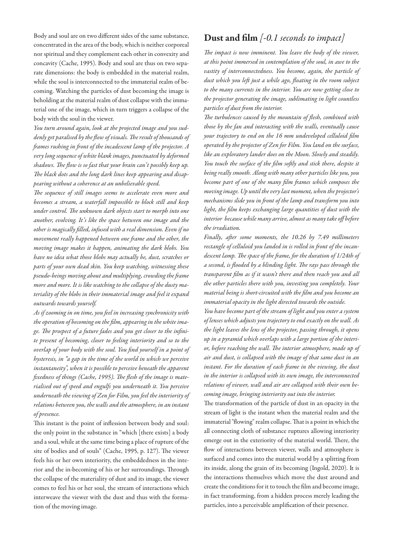Body and soul are on two different sides of the same substance, concentrated in the area of the body, which is neither corporeal nor spiritual and they complement each other in convexity and concavity (Cache, 1995). Body and soul are thus on two separate dimensions: the body is embedded in the material realm, while the soul is interconnected to the immaterial realm of becoming. Watching the particles of dust becoming the image is beholding at the material realm of dust collapse with the immaterial one of the image, which in turn triggers a collapse of the body with the soul in the viewer.

*You turn around again, look at the projected image and you suddenly get paralised by the flow of visuals. The result of thousands of frames rushing in front of the incadescent lamp of the projector. A very long sequence of white blank images, punctuated by deformed shadows. The flow is so fast that your brain can't possibly keep up. The black dots and the long dark lines keep appearing and disappearing without a coherence at an unbelievable speed.*

*The sequence of still images seems to accelerate even more and becomes a stream, a waterfall impossible to block still and keep under control. The unknown dark objects start to morph into one another, evolving. It's like the space between one image and the other is magically filled, infused with a real dimension. Even if no movement really happened between one frame and the other, the moving image makes it happen, animating the dark blobs. You have no idea what those blobs may actually be, dust, scratches or parts of your own dead skin. You keep watching, witnessing these pseudo-beings moving about and multiplying, crowding the frame more and more. It is like watching to the collapse of the dusty materiality of the blobs in their immaterial image and feel it expand outwards towards yourself.*

*As if zooming in on time, you feel in increasing synchronicity with the operation of becoming on the film, appearing in the white image. The prospect of a future fades and you get closer to the infinite present of becoming, closer to feeling interiority and so to the overlap of your body with the soul. You find yourself in a point of hysteresis, in "a gap in the time of the world in which we perceive instantaneity", when it is possible to perceive beneath the apparent fixedness of things (Cache, 1995). The flesh of the image is materialised out of speed and engulfs you underneath it. You perceive underneath the viewing of Zen for Film, you feel the interiority of relations between you, the walls and the atmosphere, in an instant of presence.* 

This instant is the point of inflession between body and soul: the only point in the substance in "which [there exists] a body and a soul, while at the same time being a place of rupture of the site of bodies and of souls" (Cache, 1995, p. 127). The viewer feels his or her own interiority, the embeddedness in the interior and the in-becoming of his or her surroundings. Through the collapse of the materiality of dust and its image, the viewer comes to feel his or her soul, the stream of interactions which interweave the viewer with the dust and thus with the formation of the moving image.

#### Dust and film *[-0.1 seconds to impact]*

*The impact is now imminent. You leave the body of the viewer, at this point immersed in contemplation of the soul, in awe to the vastity of interconnectedness. You become, again, the particle of dust which you left just a while ago, floating in the room subject to the many currents in the interior. You are now getting close to the projector generating the image, sublimating in light countless particles of dust from the interior.* 

*The turbulences caused by the mountain of flesh, combined with those by the fan and interacting with the walls, eventually cause your trajectory to end on the 16 mm undeveloped celluloid film operated by the projector of Zen for Film. You land on the surface, like an exploratory lander does on the Moon. Slowly and steadily. You touch the surface of the film softly and stick there, despite it being really smooth. Along with many other particles like you, you become part of one of the many film frames which composes the moving image. Up until the very last moment, when the projector's mechanisms slide you in front of the lamp and transform you into light, the film keeps exchanging large quantities of dust with the interior because while many arrive, almost as many take off before the irradiation.* 

*Finally, after some moments, the 10.26 by 7.49 millimeters rectangle of celluloid you landed in is rolled in front of the incandescent lamp. The space of the frame, for the duration of 1/24th of a second, is flooded by a blinding light. The rays pass through the transparent film as if it wasn't there and then reach you and all the other particles there with you, investing you completely. Your material being is short-circuited with the film and you become an immaterial opacity in the light directed towards the outside.* 

*You have become part of the stream of light and you enter a system of lenses which adjusts you trajectory to end exactly on the wall. As the light leaves the lens of the projector, passing through, it opens up in a pyramid which overlaps with a large portion of the interior, before reaching the wall. The interior atmosphere, made up of air and dust, is collapsed with the image of that same dust in an*  instant. For the duration of each frame in the viewing, the dust *in the interior is collapsed with its own image, the interconnected relations of viewer, wall and air are collapsed with their own becoming image, bringing interiority out into the interior.* 

The transformation of the particle of dust in an opacity in the stream of light is the instant when the material realm and the immaterial "flowing" realm collapse. That is a point in which the all connecting cloth of substance ruptures allowing interiority emerge out in the exteriority of the material world. There, the flow of interactions between viewer, walls and atmosphere is surfaced and comes into the material world by a splitting from its inside, along the grain of its becoming (Ingold, 2020). It is the interactions themselves which move the dust around and create the conditions for it to touch the film and become image, in fact transforming, from a hidden process merely leading the particles, into a perceivable amplification of their presence.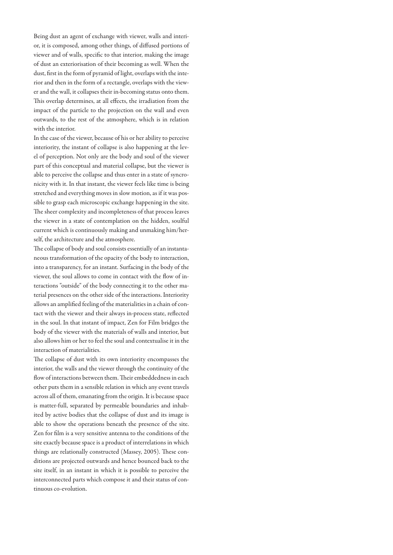Being dust an agent of exchange with viewer, walls and interior, it is composed, among other things, of diffused portions of viewer and of walls, specific to that interior, making the image of dust an exteriorisation of their becoming as well. When the dust, first in the form of pyramid of light, overlaps with the interior and then in the form of a rectangle, overlaps with the viewer and the wall, it collapses their in-becoming status onto them. This overlap determines, at all effects, the irradiation from the impact of the particle to the projection on the wall and even outwards, to the rest of the atmosphere, which is in relation with the interior.

In the case of the viewer, because of his or her ability to perceive interiority, the instant of collapse is also happening at the level of perception. Not only are the body and soul of the viewer part of this conceptual and material collapse, but the viewer is able to perceive the collapse and thus enter in a state of syncronicity with it. In that instant, the viewer feels like time is being stretched and everything moves in slow motion, as if it was possible to grasp each microscopic exchange happening in the site. The sheer complexity and incompleteness of that process leaves the viewer in a state of contemplation on the hidden, soulful current which is continuously making and unmaking him/herself, the architecture and the atmosphere.

The collapse of body and soul consists essentially of an instantaneous transformation of the opacity of the body to interaction, into a transparency, for an instant. Surfacing in the body of the viewer, the soul allows to come in contact with the flow of interactions "outside" of the body connecting it to the other material presences on the other side of the interactions. Interiority allows an amplified feeling of the materialities in a chain of contact with the viewer and their always in-process state, reflected in the soul. In that instant of impact, Zen for Film bridges the body of the viewer with the materials of walls and interior, but also allows him or her to feel the soul and contextualise it in the interaction of materialities.

The collapse of dust with its own interiority encompasses the interior, the walls and the viewer through the continuity of the flow of interactions between them. Their embeddedness in each other puts them in a sensible relation in which any event travels across all of them, emanating from the origin. It is because space is matter-full, separated by permeable boundaries and inhabited by active bodies that the collapse of dust and its image is able to show the operations beneath the presence of the site. Zen for film is a very sensitive antenna to the conditions of the site exactly because space is a product of interrelations in which things are relationally constructed (Massey, 2005). These conditions are projected outwards and hence bounced back to the site itself, in an instant in which it is possible to perceive the interconnected parts which compose it and their status of continuous co-evolution.